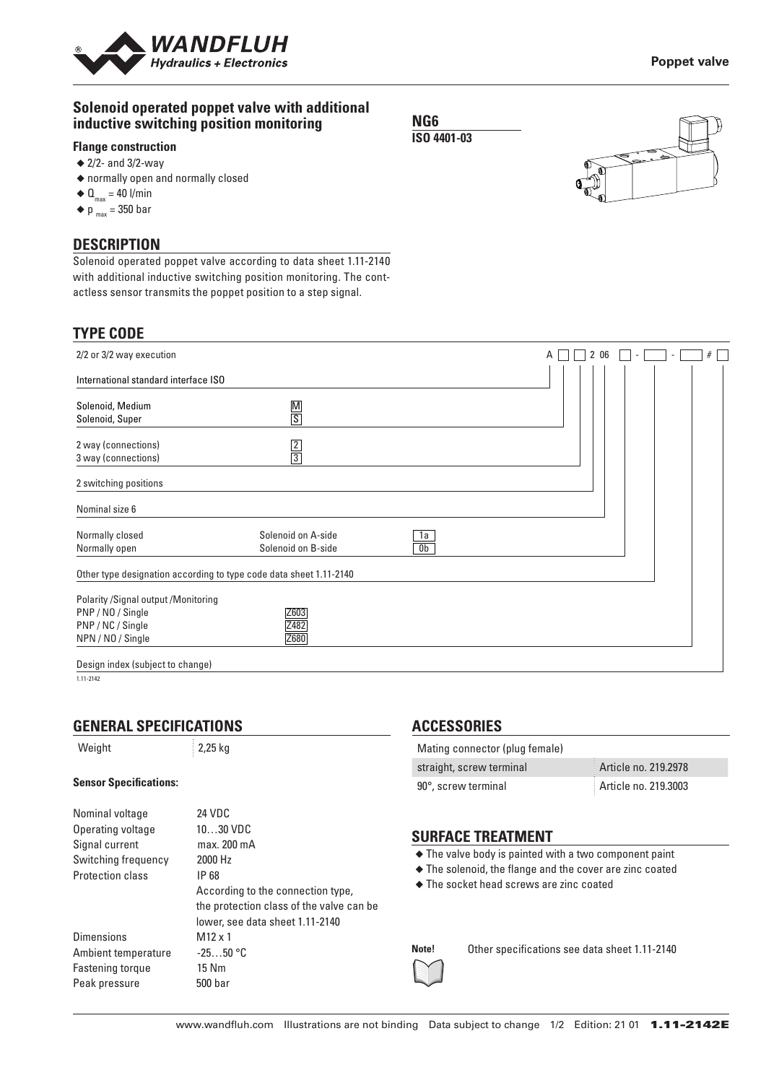

## **Solenoid operated poppet valve with additional inductive switching position monitoring**

## **Flange construction**

- ◆ 2/2- and 3/2-way
- ◆ normally open and normally closed
- $\triangleleft$  Q<sub>max</sub> = 40 l/min
- $\blacklozenge$  p  $_{\text{max}}$  = 350 bar

### **DESCRIPTION**

Solenoid operated poppet valve according to data sheet 1.11-2140 with additional inductive switching position monitoring. The contactless sensor transmits the poppet position to a step signal.

| <b>TYPE CODE</b>                                                                                   |                                          |                      |   |      |  |   |
|----------------------------------------------------------------------------------------------------|------------------------------------------|----------------------|---|------|--|---|
| 2/2 or 3/2 way execution                                                                           |                                          |                      | A | 2 06 |  | # |
| International standard interface ISO                                                               |                                          |                      |   |      |  |   |
| Solenoid, Medium<br>Solenoid, Super                                                                | $\frac{M}{S}$                            |                      |   |      |  |   |
| 2 way (connections)<br>3 way (connections)                                                         | $\frac{2}{3}$                            |                      |   |      |  |   |
| 2 switching positions                                                                              |                                          |                      |   |      |  |   |
| Nominal size 6                                                                                     |                                          |                      |   |      |  |   |
| Normally closed<br>Normally open                                                                   | Solenoid on A-side<br>Solenoid on B-side | 1a<br>0 <sub>b</sub> |   |      |  |   |
| Other type designation according to type code data sheet 1.11-2140                                 |                                          |                      |   |      |  |   |
| Polarity /Signal output /Monitoring<br>PNP / NO / Single<br>PNP / NC / Single<br>NPN / NO / Single | Z603<br>Z482<br>Z680                     |                      |   |      |  |   |
| Design index (subject to change)                                                                   |                                          |                      |   |      |  |   |

**NG6 ISO 4401-03**

1.11-2142

# **GENERAL SPECIFICATIONS**

### ight  $2,25$  kg

#### **Sensor Specifications:**

| Nominal voltage         | 24 VDC                                   |
|-------------------------|------------------------------------------|
| Operating voltage       | $1030$ VDC                               |
| Signal current          | max. 200 mA                              |
| Switching frequency     | 2000 Hz                                  |
| Protection class        | IP 68                                    |
|                         | According to the connection type,        |
|                         | the protection class of the valve can be |
|                         | lower, see data sheet 1.11-2140          |
| <b>Dimensions</b>       | $M12 \times 1$                           |
| Ambient temperature     | $-2550 °C$                               |
| <b>Fastening torque</b> | 15 Nm                                    |
| Peak pressure           | 500 bar                                  |
|                         |                                          |

## **ACCESSORIES**

| Mating connector (plug female) |                      |  |  |
|--------------------------------|----------------------|--|--|
| straight, screw terminal       | Article no. 219.2978 |  |  |
| 90°, screw terminal            | Article no. 219.3003 |  |  |

## **SURFACE TREATMENT**

- ◆ The valve body is painted with a two component paint
- ◆ The solenoid, the flange and the cover are zinc coated
- ◆ The socket head screws are zinc coated

**Note!** Other specifications see data sheet 1.11-2140